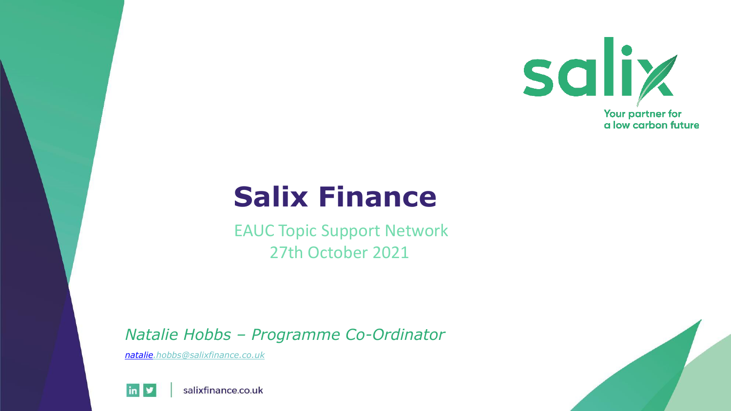

#### **Salix Finance**

EAUC Topic Support Network 27th October 2021

*Natalie Hobbs – Programme Co-Ordinator*

*[natalie.hobbs@salixfinance.co.uk](mailto:heather.jones@salixfinance.co.uk)*





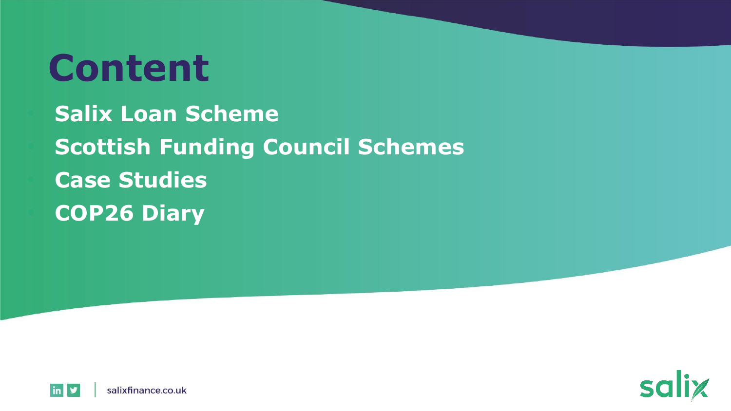# **Content**

• **Salix Loan Scheme** • **Scottish Funding Council Schemes**  • **Case Studies** • **COP26 Diary**



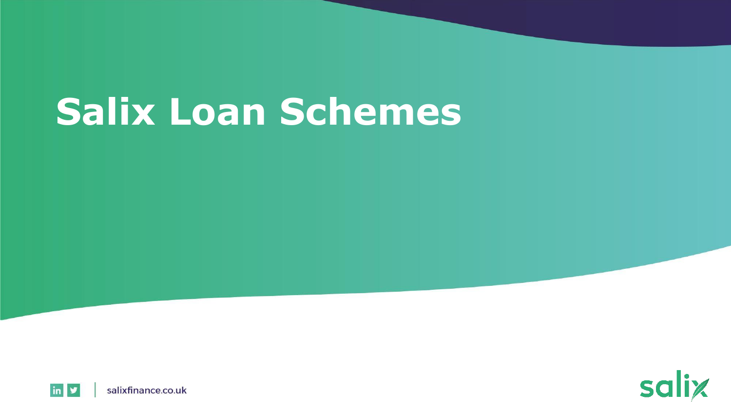# **Salix Loan Schemes**



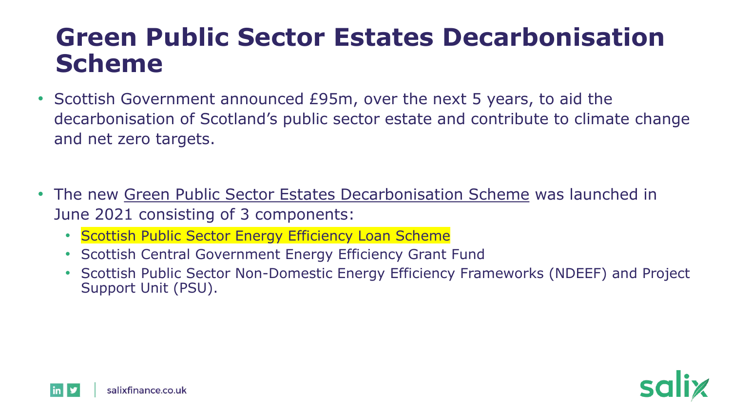#### **Green Public Sector Estates Decarbonisation Scheme**

- Scottish Government announced £95m, over the next 5 years, to aid the decarbonisation of Scotland's public sector estate and contribute to climate change and net zero targets.
- The new [Green Public Sector Estates Decarbonisation Scheme](https://www.gov.scot/publications/scottish-green-public-sector-estate-decarbonisation-scheme-information-note---june-2021/) was launched in June 2021 consisting of 3 components:
	- Scottish Public Sector Energy Efficiency Loan Scheme
	- Scottish Central Government Energy Efficiency Grant Fund
	- Scottish Public Sector Non-Domestic Energy Efficiency Frameworks (NDEEF) and Project Support Unit (PSU).

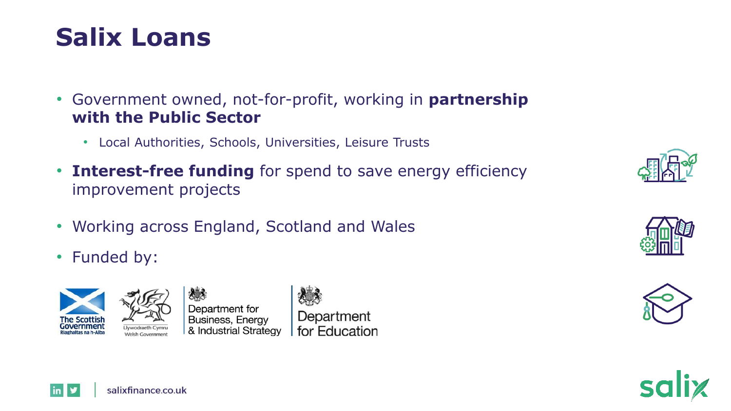#### **Salix Loans**

- Government owned, not-for-profit, working in **partnership with the Public Sector**
	- Local Authorities, Schools, Universities, Leisure Trusts
- **Interest-free funding** for spend to save energy efficiency improvement projects
- Working across England, Scotland and Wales
- Funded by:



**in** 



Department for Education







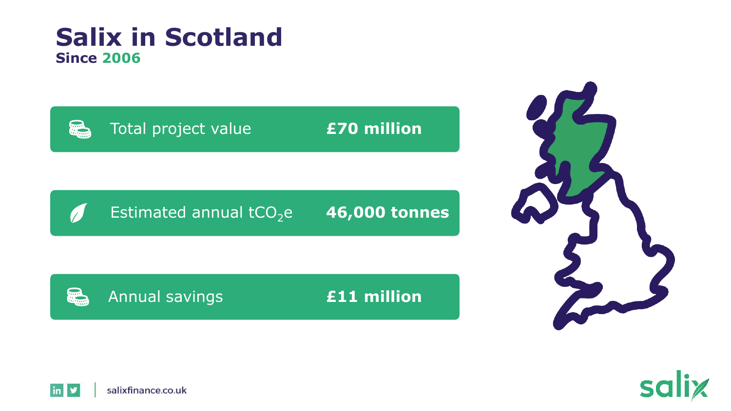#### **Salix in Scotland Since 2006**







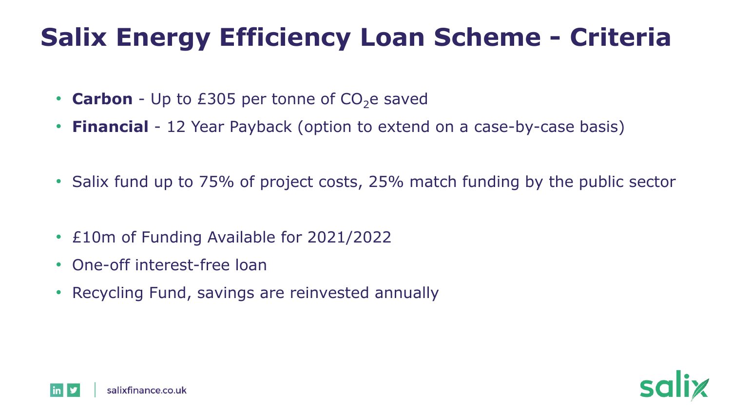### **Salix Energy Efficiency Loan Scheme - Criteria**

- **Carbon** Up to £305 per tonne of  $CO<sub>2</sub>$ e saved
- **Financial** 12 Year Payback (option to extend on a case-by-case basis)
- Salix fund up to 75% of project costs, 25% match funding by the public sector
- £10m of Funding Available for 2021/2022
- One-off interest-free loan
- Recycling Fund, savings are reinvested annually



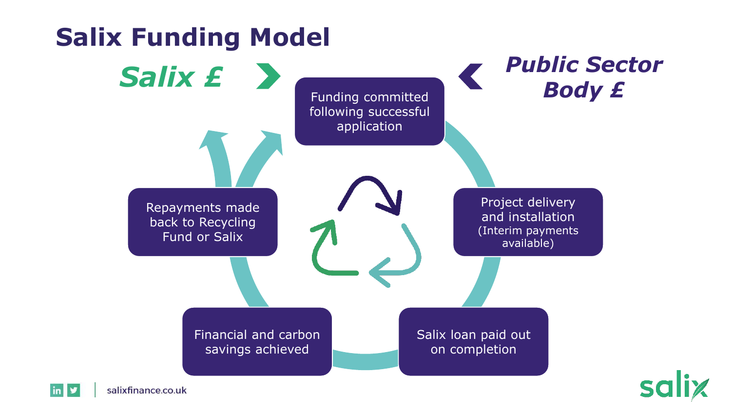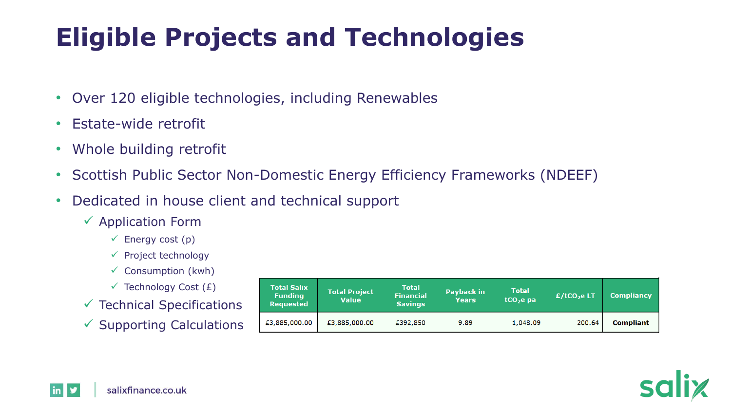## **Eligible Projects and Technologies**

- Over 120 eligible technologies, including Renewables
- Estate-wide retrofit
- Whole building retrofit
- Scottish Public Sector Non-Domestic Energy Efficiency Frameworks (NDEEF)
- Dedicated in house client and technical support
	- $\checkmark$  Application Form
		- $\checkmark$  Energy cost (p)
		- ✓ Project technology
		- $\checkmark$  Consumption (kwh)
		- $\checkmark$  Technology Cost (£)
	- $\checkmark$  Technical Specifications
	- $\checkmark$  Supporting Calculations

| <b>Total Salix</b><br><b>Funding</b><br><b>Requested</b> | <b>Total Project</b><br><b>Value</b> | <b>Total</b><br>Financial<br><b>Savings</b> | Payback in<br><b>Years</b> | <b>Total</b><br>$tCO2e$ pa | $E/$ tCO <sub>2</sub> e LT | <b>Compliancy</b> |
|----------------------------------------------------------|--------------------------------------|---------------------------------------------|----------------------------|----------------------------|----------------------------|-------------------|
| £3,885,000.00                                            | £3,885,000.00                        | £392,850                                    | 9.89                       | 1,048.09                   | 200.64                     | <b>Compliant</b>  |



<u>in</u> N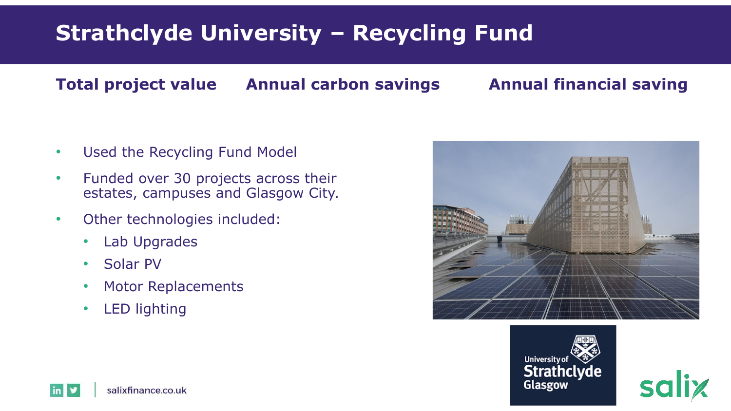#### **Strathclyde University – Recycling Fund**

#### **Total project value Annual carbon savings Annual financial saving**

- Used the Recycling Fund Model
- Funded over 30 projects across their estates, campuses and Glasgow City.
- Other technologies included:
	- Lab Upgrades
	- Solar PV
	- Motor Replacements
	- LED lighting







salixfinance.co.uk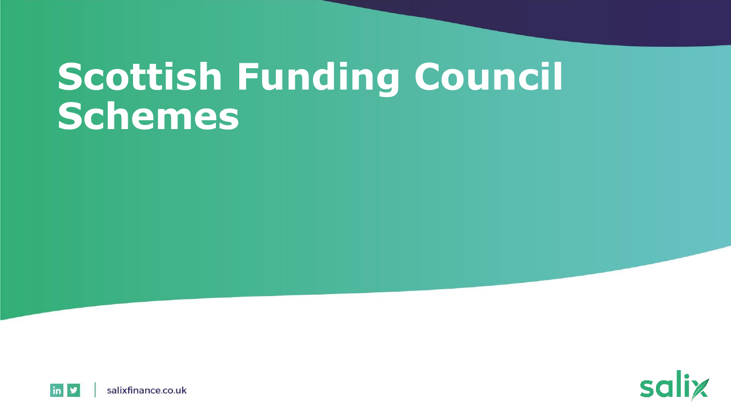# **Scottish Funding Council Schemes**



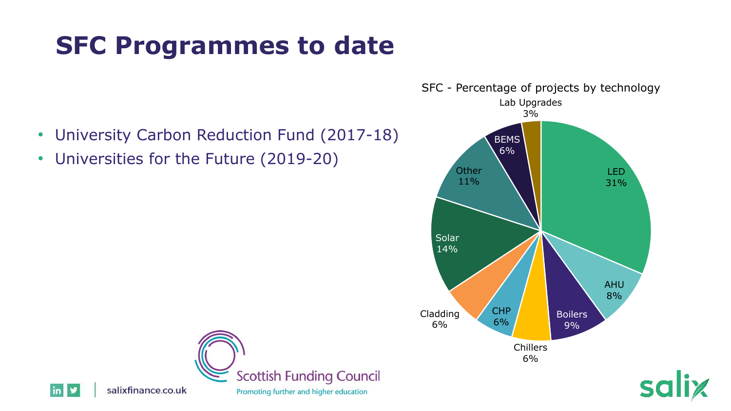### **SFC Programmes to date**

- University Carbon Reduction Fund (2017-18)
- Universities for the Future (2019-20)





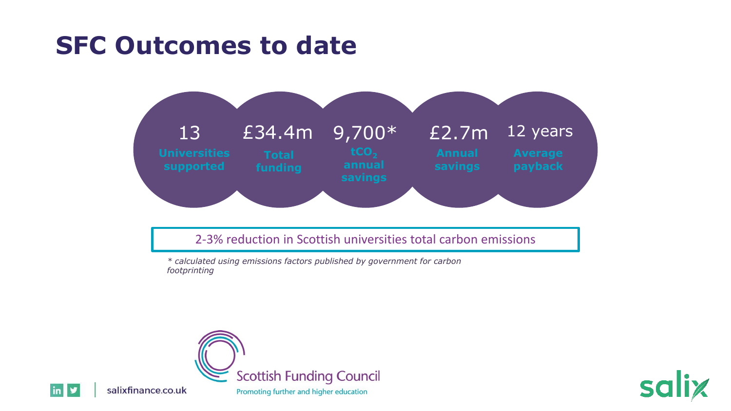#### **SFC Outcomes to date**



2-3% reduction in Scottish universities total carbon emissions

*\* calculated using emissions factors published by government for carbon footprinting*





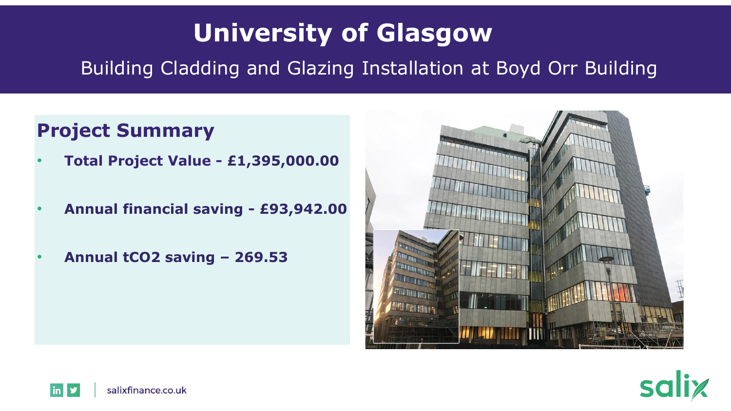### **University of Glasgow**

Building Cladding and Glazing Installation at Boyd Orr Building

#### **Project Summary**

- **Total Project Value - £1,395,000.00**
- **Annual financial saving - £93,942.00**
- **Annual tCO2 saving – 269.53**





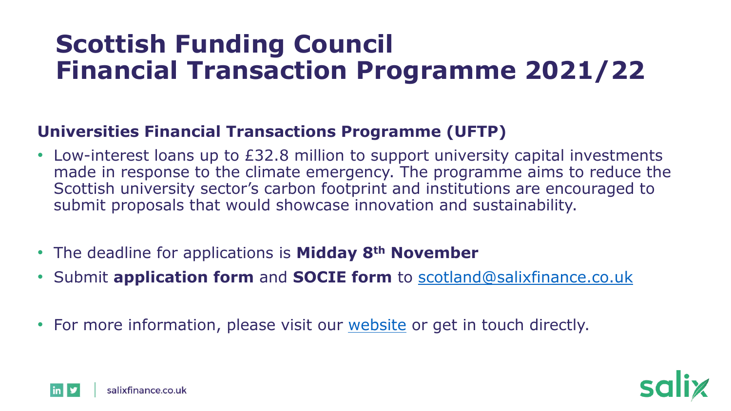#### **Scottish Funding Council Financial Transaction Programme 2021/22**

#### **Universities Financial Transactions Programme (UFTP)**

- Low-interest loans up to £32.8 million to support university capital investments made in response to the climate emergency. The programme aims to reduce the Scottish university sector's carbon footprint and institutions are encouraged to submit proposals that would showcase innovation and sustainability.
- The deadline for applications is **Midday 8th November**
- Submit **application form** and **SOCIE form** to [scotland@salixfinance.co.uk](mailto:scotland@salixfinance.co.uk)
- For more information, please visit our [website](https://www.salixfinance.co.uk/node/17569) or get in touch directly.



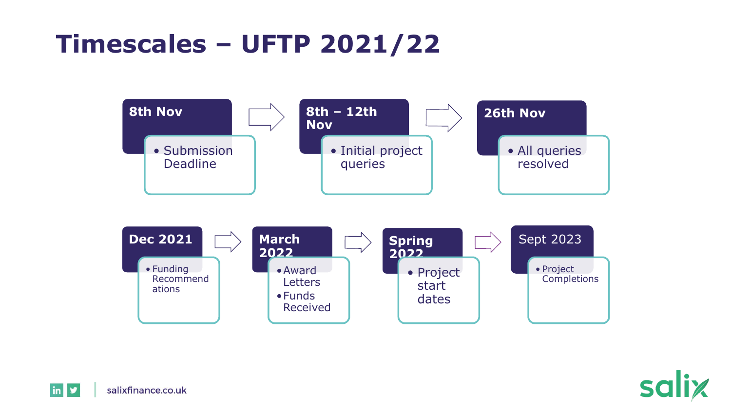#### **Timescales – UFTP 2021/22**





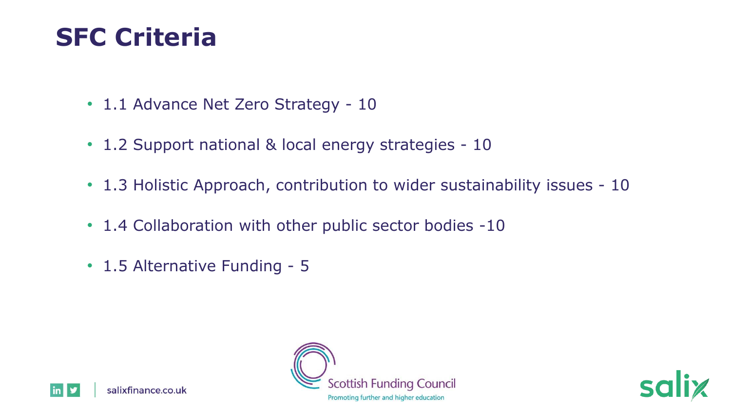#### **SFC Criteria**

- 1.1 Advance Net Zero Strategy 10
- 1.2 Support national & local energy strategies 10
- 1.3 Holistic Approach, contribution to wider sustainability issues 10
- 1.4 Collaboration with other public sector bodies -10
- 1.5 Alternative Funding 5





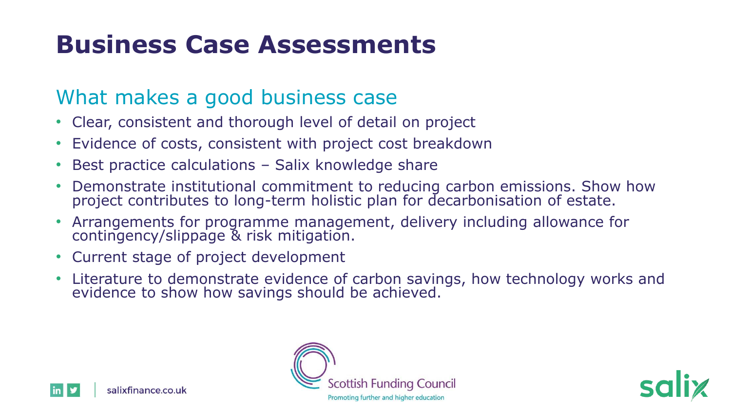### **Business Case Assessments**

#### What makes a good business case

- Clear, consistent and thorough level of detail on project
- Evidence of costs, consistent with project cost breakdown
- Best practice calculations Salix knowledge share
- Demonstrate institutional commitment to reducing carbon emissions. Show how project contributes to long-term holistic plan for decarbonisation of estate.
- Arrangements for programme management, delivery including allowance for contingency/slippage & risk mitigation.
- Current stage of project development
- Literature to demonstrate evidence of carbon savings, how technology works and evidence to show how savings should be achieved.





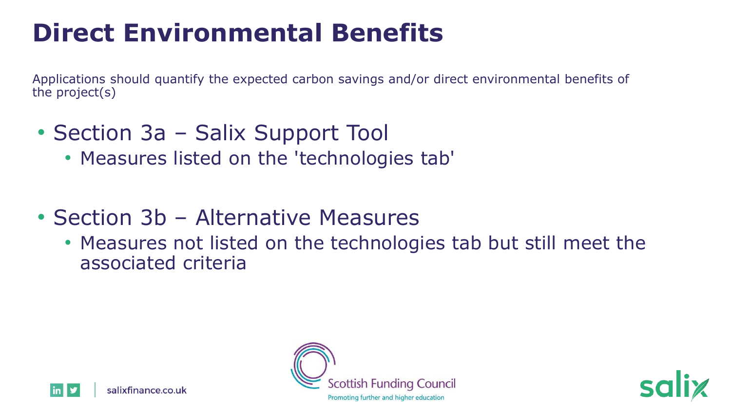### **Direct Environmental Benefits**

Applications should quantify the expected carbon savings and/or direct environmental benefits of the project(s)

- Section 3a Salix Support Tool
	- Measures listed on the 'technologies tab'
- Section 3b Alternative Measures
	- Measures not listed on the technologies tab but still meet the associated criteria





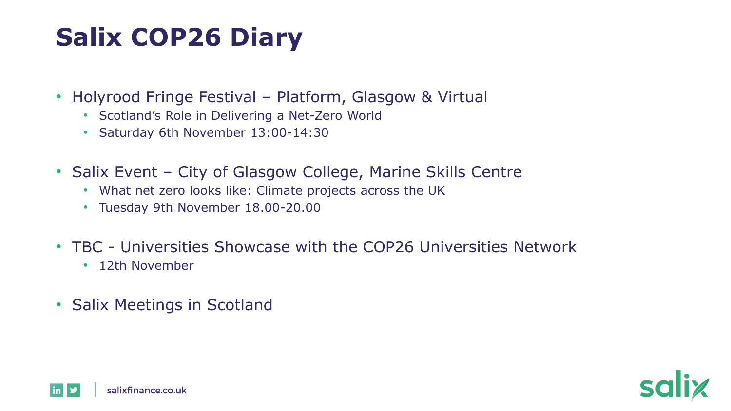## **Salix COP26 Diary**

- Holyrood Fringe Festival Platform, Glasgow & Virtual
	- Scotland's Role in Delivering a Net-Zero World
	- Saturday 6th November 13:00-14:30
- Salix Event City of Glasgow College, Marine Skills Centre
	- What net zero looks like: Climate projects across the UK
	- Tuesday 9th November 18.00-20.00
- TBC Universities Showcase with the COP26 Universities Network
	- 12th November
- Salix Meetings in Scotland